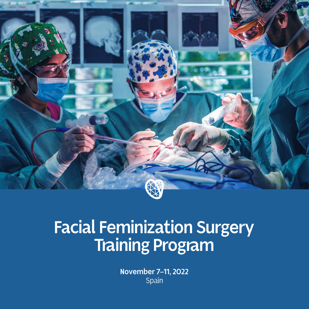

# **Facial Feminization Surgery Training Program**

**November 7-11, 2022** Spain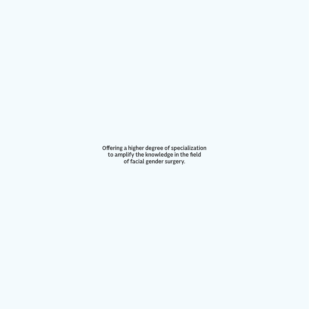**Offering a higher degree of specialization to amplify the knowledge in the field of facial gender surgery.**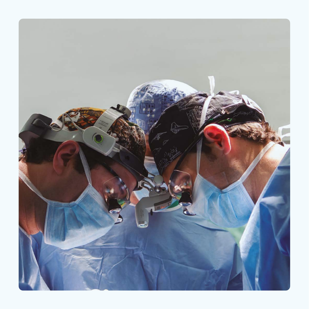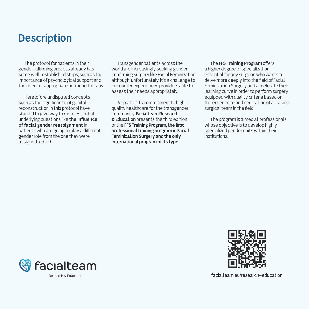# **Description**

The protocol for patients in their gender-affirming process already has some well-established steps, such as the importance of psychological support and the need for appropriate hormone therapy.

Heretofore undisputed concepts such as the significance of genital reconstruction in this protocol have started to give way to more essential underlying questions like **the influence of facial gender reassignment** in patients who are going to play a different gender role from the one they were assigned at birth.

Transgender patients across the world are increasingly seeking gender confirming surgery like Facial Feminization although, unfortunately, it's a challenge to encounter experienced providers able to assess their needs appropriately.

As part of its commitment to highquality healthcare for the transgender community, **Facialteam Research & Education** presents the third edition of the **FFS Training Program, the first professional training program in Facial Feminization Surgery and the only international program of its type.**

The **FFS Training Program** offers a higher degree of specialization, essential for any surgeon who wants to delve more deeply into the field of Facial Feminization Surgery and accelerate their learning curve in order to perform surgery equipped with quality criteria based on the experience and dedication of a leading surgical team in the field.

The program is aimed at professionals whose objective is to develop highly specialized gender units within their institutions.



[facialteam.eu/research-education](http://facialteam.eu/research-education)

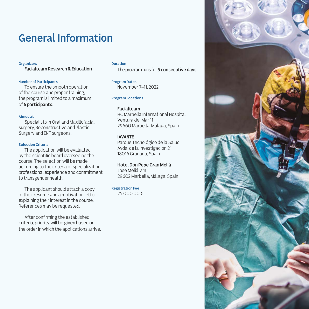# **General Information**

#### **Organizers**

**Facialteam Research & Education**

### **Number of Participants**

To ensure the smooth operation of the course and proper training, the program is limited to a maximum of **6 participants**.

### **Aimed at**

Specialists in Oral and Maxillofacial surgery, Reconstructive and Plastic Surgery and ENT surgeons.

## **Selection Criteria**

The application will be evaluated by the scientific board overseeing the course. The selection will be made according to the criteria of specialization, professional experience and commitment to transgender health.

The applicant should attach a copy of their resumé and a motivation letter explaining their interest in the course. References may be requested.

After confirming the established criteria, priority will be given based on the order in which the applications arrive.

## **Duration**

The program runs for **5 consecutive days**.

**Program Dates** November 7-11, 2022

### **Program Locations**

# **Facialteam**

HC Marbella International Hospital Ventura del Mar 11 29660 Marbella, Málaga, Spain

# **IAVANTE**

Parque Tecnológico de la Salud Avda. de la Investigación 21 18016 Granada, Spain

# **Hotel Don Pepe Gran Meliá**

José Meliá, s/n 29602 Marbella, Málaga, Spain

# **Registration Fee**

25 000,00 €

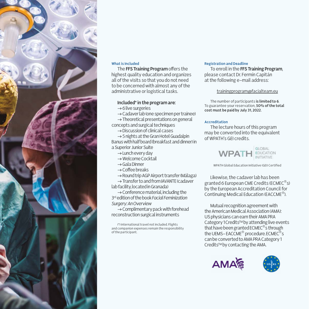

### **What is Included**

The **FFS Training Program** offers the highest quality education and organizes all of the visits so that you do not need to be concerned with almost any of the administrative or logistical tasks.

# **Included\* in the program are:**

- $\rightarrow$  6 live surgeries
- $\rightarrow$  Cadaver lab (one specimen per trainee)
- $\rightarrow$  Theoretical presentations on general
- concepts and surgical techniques
	- $\rightarrow$  Discussion of clinical cases

 $\rightarrow$  5 nights at the Gran Hotel Guadalpin Banus with half board (breakfast and dinner) in a Superior Junior Suite

- $\rightarrow$  Lunch every day
- → Welcome Cocktail
- → Gala Dinner
- → Coffee breaks
- → Round trip AGP Airport transfer (Málaga)

→ Transfer to and from IAVANTE (cadaver lab facility, located in Granada)

 $\rightarrow$  Conference material, including the 3rd edition of the book *Facial Feminization Surgery: An Overview*

 $\rightarrow$  Complimentary pack with forehead reconstruction surgical instruments

### **Registration and Deadline**

To enroll in the **FFS Training Program**, please contact Dr. Fermín Capitán at the following e-mail address:

trainingprogram@facialteam.eu

The number of participants **is limited to 6**. To guarantee your reservation, **50% of the total cost must be paid by July 31, 2022.**

### **Accreditation**

The lecture hours of this program may be converted into the equivalent of WPATH's GEI credits.



WPATH Global Education Initiative (GEI) Certified

Likewise, the cadaver lab has been granted 6 European CME Credits (ECMEC®s) by the European Accreditation Council for Continuing Medical Education (EACCME®).

Mutual recognition agreement with the American Medical Association (AMA): US physicians can earn their AMA PRA Category 1 Credits™ by attending live events that have been granted ECMEC®s through the UEMS-EACCME<sup>®</sup> procedure. ECMEC<sup>®</sup>s can be converted to AMA PRA Category 1 Credits™ by contacting the AMA.



<sup>(\*)</sup> International travel not included. Flights and companion expenses remain the responsibility of the participant.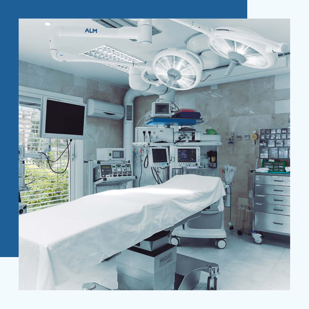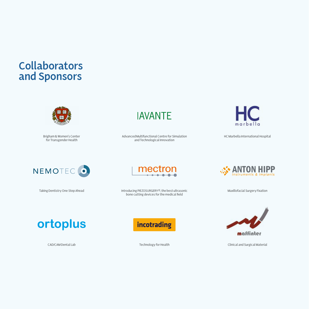# **Collaborators and Sponsors**



Brigham & Women's Center for Transgender Health

# **IAVANTE**

Advanced Multifunctional Centre for Simulation HC Marbella International Hospital and Technological Innovation







Taking Dentistry One Step Ahead Introducing PIEZOSURGERY®, the best ultrasonic Maxillofacial Surgery Fixation bone cutting devices for the medical field









CAD/CAM Dental Lab Capital And Technology for Health Clinical and Surgical Material Clinical and Surgical Material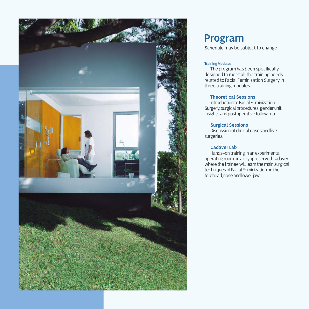

# **Program**

Schedule may be subject to change

# **Training Modules**

The program has been specifically designed to meet all the training needs related to Facial Feminization Surgery in three training modules:

# **Theoretical Sessions**

Introduction to Facial Feminization Surgery, surgical procedures, gender unit insights and postoperative follow-up.

# **Surgical Sessions**

Discussion of clinical cases and live surgeries.

# **Cadaver Lab**

Hands-on training in an experimental operating room on a cryopreserved cadaver where the trainee will learn the main surgical techniques of Facial Feminization on the forehead, nose and lower jaw.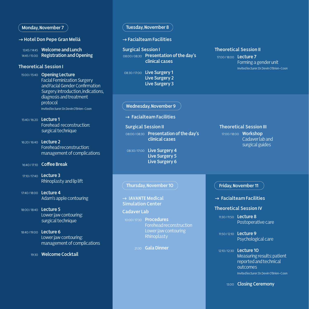**→ Hotel Don Pepe Gran Meliá**

**Welcome and Lunch** 13:45 / 14:45 **Registration and Opening** 14:45 / 15:00

# **Theoretical Session I**

15:00 / 15:40 **Opening Lecture** Facial Feminization Surgery and Facial Gender Confirmation Surgery. Introduction, indications, diagnosis and treatment protocol Invited lecturer: Dr. Devin O'Brien-Coon

15:40 / 16:20 **Lecture 1**  Forehead reconstruction: surgical technique

- 16:20 / 16:40 **Lecture 2** Forehead reconstruction: management of complications
- 16:40 / 17:10 **Coffee Break**

17:10 / 17:40 **Lecture 3** Rhinoplasty and lip lift

17:40 / 18:00 **Lecture 4** Adam's apple contouring

18:00 / 18:40 **Lecture 5**  Lower jaw contouring: surgical technique

18:40 / 19:00 **Lecture 6**  Lower jaw contouring: management of complications

19:30 **Welcome Cocktail**

# **Monday, November 7 Tuesday, November 8**

**→ Facialteam Facilities**

**Surgical Session I Theoretical Session II Presentation of the day's**  08:00 / 08:30 17:00 / 18:00 **clinical cases**

08:30/17:00 Live Surgery 1 **Live Surgery 2 Live Surgery 3**

17:00/18:00 **Lecture 7** Forming a gender unit Invited lecturer: Dr. Devin O'Brien-Coon

**Wednesday, November 9**

**→ Facialteam Facilities**

**Surgical Session II Theoretical Session III Presentation of the day's**  08:00 / 08:30 17:00 / 18:00 **clinical cases**

08:30 / 17:00 **Live Surgery 4 Live Surgery 5 Live Surgery 6**

# **Thursday, November 10**

**→ IAVANTE Medical Simulation Center**

# **Cadaver Lab**

**Procedures** 10:00 / 17:30 Forehead reconstruction Lower jaw contouring **Rhinoplasty** 

21:30 **Gala Dinner**

17:00/18:00 **Workshop** Cadaver lab and surgical guides

# **Friday, November 11**

**→ Facialteam Facilities**

# **Theoretical Session IV**

11:30 / 11:50 **Lecture 8** Postoperative care

11:50 / 12:10 **Lecture 9** Psychological care

12:10 / 12:30 **Lecture 10** Measuring results: patient reported and technical outcomes Invited lecturer: Dr. Devin O'Brien-Coon

13:00 **Closing Ceremony**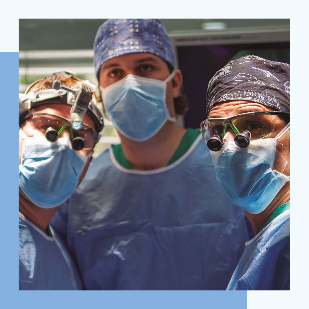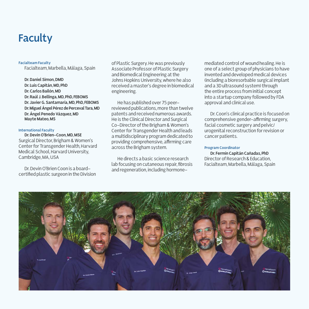# **Faculty**

#### **Facialteam Faculty**

Facialteam, Marbella, Málaga, Spain

**Dr. Daniel Simon, DMD Dr. Luis Capitán, MD, PhD Dr. Carlos Bailón, MD Dr. Raúl J. Bellinga, MD, PhD, FEBOMS Dr. Javier G. Santamaría, MD, PhD, FEBOMS Dr. Miguel Ángel Pérez de Perceval Tara, MD Dr. Ángel Penedo Vázquez, MD Mayte Mateo, MS**

### **International Faculty**

**Dr. Devin O'Brien-Coon, MD, MSE** Surgical Director, Brigham & Women's Center for Transgender Health, Harvard Medical School, Harvard University, Cambridge, MA, USA

Dr. Devin O'Brien Coon is a boardcertified plastic surgeon in the Division of Plastic Surgery. He was previously Associate Professor of Plastic Surgery and Biomedical Engineering at the Johns Hopkins University, where he also received a master's degree in biomedical engineering.

He has published over 75 peerreviewed publications, more than twelve patents and received numerous awards. He is the Clinical Director and Surgical Co-Director of the Brigham & Women's Center for Transgender Health and leads a multidisciplinary program dedicated to providing comprehensive, affirming care across the Brigham system.

He directs a basic science research lab focusing on cutaneous repair, fibrosis and regeneration, including hormone-

mediated control of wound healing. He is one of a select group of physicians to have invented and developed medical devices (including a bioresorbable surgical implant and a 3D ultrasound system) through the entire process from initial concept into a startup company followed by FDA approval and clinical use.

Dr. Coon's clinical practice is focused on comprehensive gender-affirming surgery, facial cosmetic surgery and pelvic/ urogenital reconstruction for revision or cancer patients.

### **Program Coordinator**

**Dr. Fermín Capitán Cañadas, PhD** Director of Research & Education, Facialteam, Marbella, Málaga, Spain

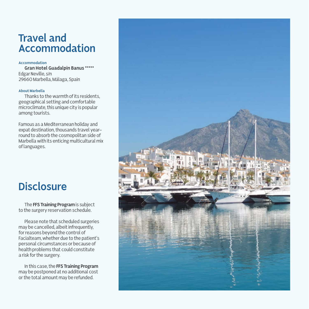# **Travel and Accommodation**

# **Accommodation**

**Gran Hotel Guadalpin Banus \*\*\*\*\*** Edgar Neville, s/n 29660 Marbella, Málaga, Spain

### **About Marbella**

Thanks to the warmth of its residents, geographical setting and comfortable microclimate, this unique city is popular among tourists.

Famous as a Mediterranean holiday and expat destination, thousands travel yearround to absorb the cosmopolitan side of Marbella with its enticing multicultural mix of languages.

# **Disclosure**

The **FFS Training Program** is subject to the surgery reservation schedule.

Please note that scheduled surgeries may be cancelled, albeit infrequently, for reasons beyond the control of Facialteam, whether due to the patient's personal circumstances or because of health problems that could constitute a risk for the surgery.

In this case, the **FFS Training Program** may be postponed at no additional cost or the total amount may be refunded.